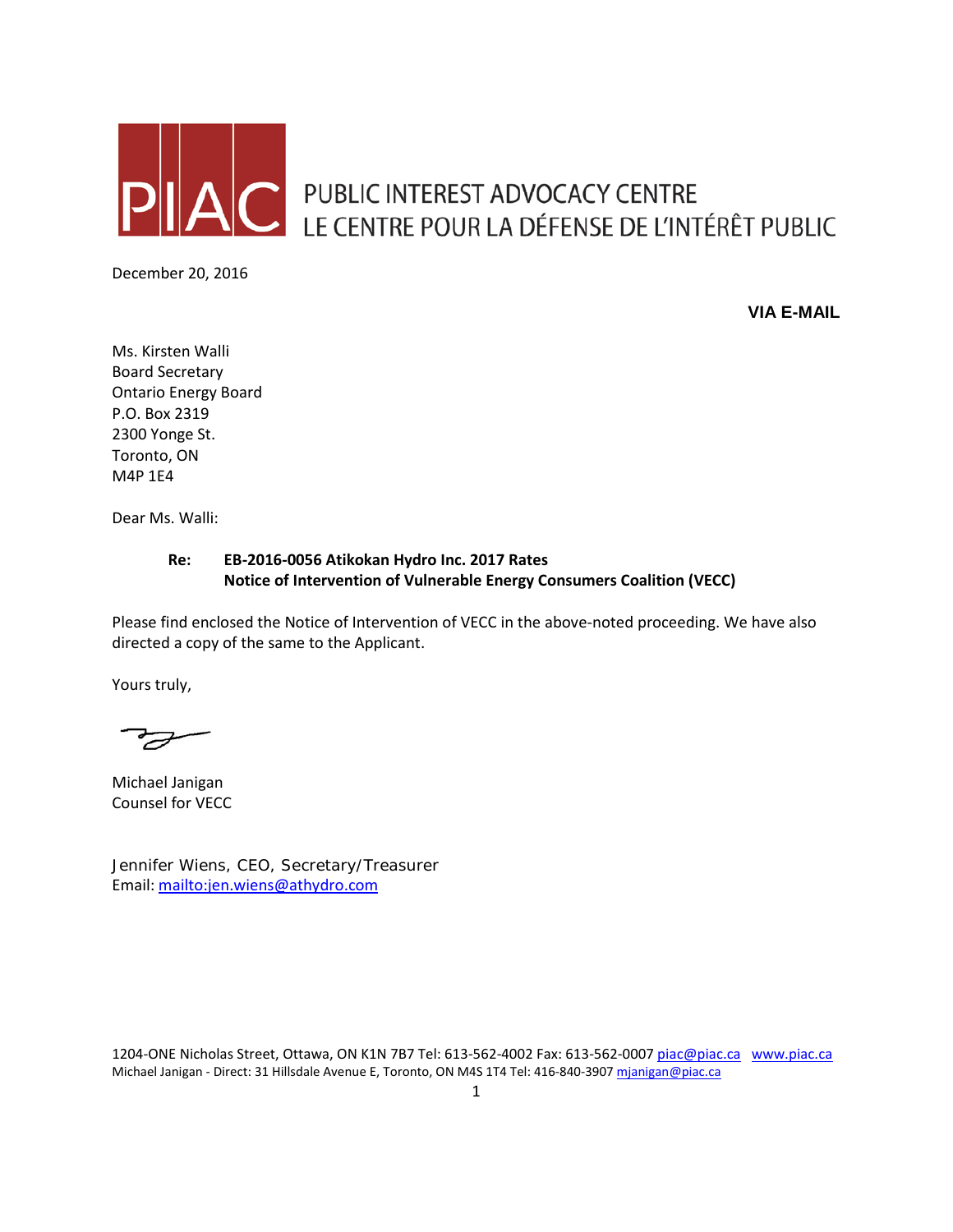

PUBLIC INTEREST ADVOCACY CENTRE<br>LE CENTRE POUR LA DÉFENSE DE L'INTÉRÊT PUBLIC

December 20, 2016

**VIA E-MAIL**

Ms. Kirsten Walli Board Secretary Ontario Energy Board P.O. Box 2319 2300 Yonge St. Toronto, ON M4P 1E4

Dear Ms. Walli:

## **Re: EB-2016-0056 Atikokan Hydro Inc. 2017 Rates Notice of Intervention of Vulnerable Energy Consumers Coalition (VECC)**

Please find enclosed the Notice of Intervention of VECC in the above-noted proceeding. We have also directed a copy of the same to the Applicant.

Yours truly,

Michael Janigan Counsel for VECC

Jennifer Wiens, CEO, Secretary/Treasurer Email:<mailto:jen.wiens@athydro.com>

1204-ONE Nicholas Street, Ottawa, ON K1N 7B7 Tel: 613-562-4002 Fax: 613-562-000[7 piac@piac.ca](mailto:piac@piac.ca) [www.piac.ca](http://www.piac.ca/) Michael Janigan - Direct: 31 Hillsdale Avenue E, Toronto, ON M4S 1T4 Tel: 416-840-390[7 mjanigan@piac.ca](mailto:mjanigan@piac.ca)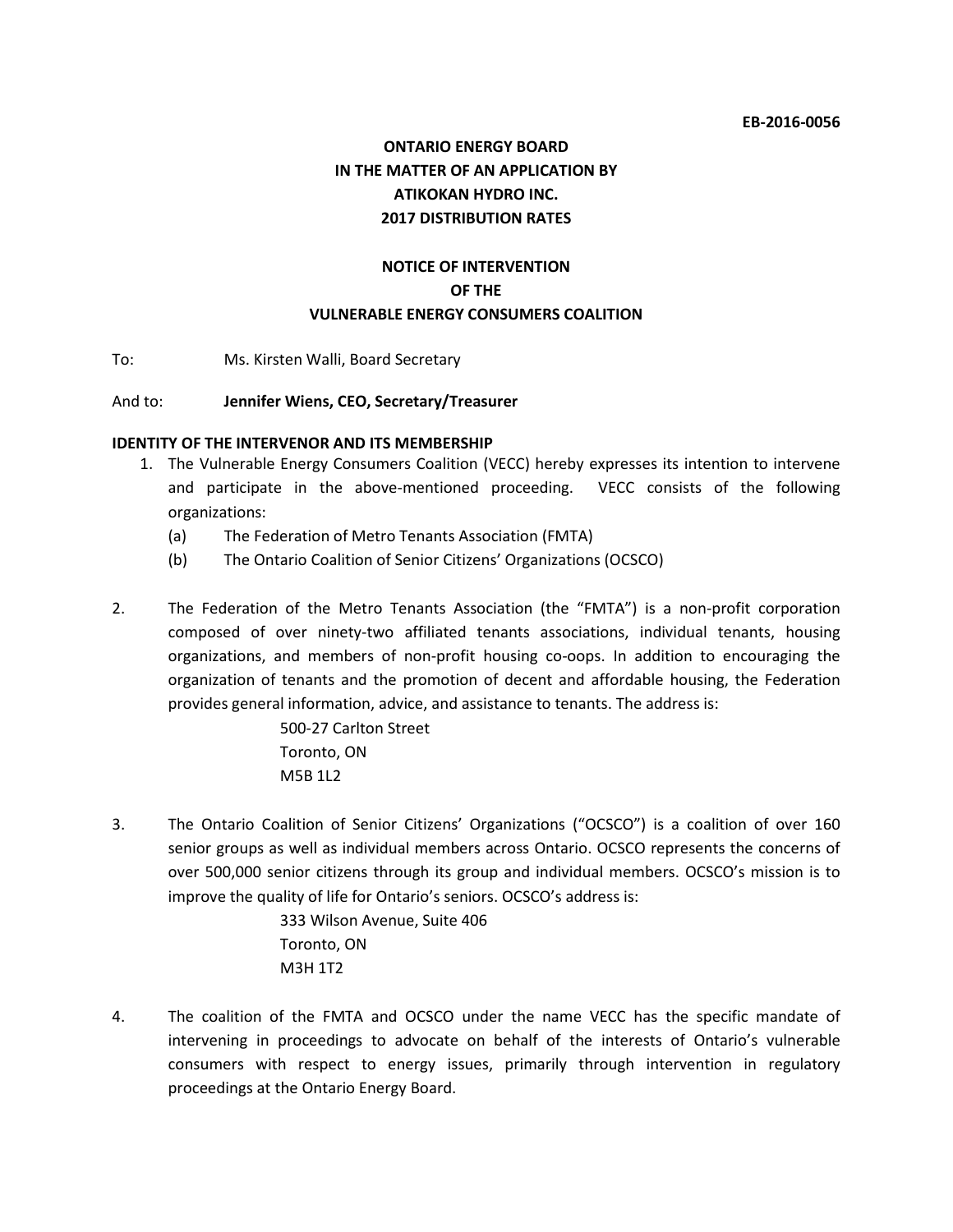# **ONTARIO ENERGY BOARD IN THE MATTER OF AN APPLICATION BY ATIKOKAN HYDRO INC. 2017 DISTRIBUTION RATES**

## **NOTICE OF INTERVENTION OF THE VULNERABLE ENERGY CONSUMERS COALITION**

To: Ms. Kirsten Walli, Board Secretary

#### And to: **Jennifer Wiens, CEO, Secretary/Treasurer**

#### **IDENTITY OF THE INTERVENOR AND ITS MEMBERSHIP**

- 1. The Vulnerable Energy Consumers Coalition (VECC) hereby expresses its intention to intervene and participate in the above-mentioned proceeding. VECC consists of the following organizations:
	- (a) The Federation of Metro Tenants Association (FMTA)
	- (b) The Ontario Coalition of Senior Citizens' Organizations (OCSCO)
- 2. The Federation of the Metro Tenants Association (the "FMTA") is a non-profit corporation composed of over ninety-two affiliated tenants associations, individual tenants, housing organizations, and members of non-profit housing co-oops. In addition to encouraging the organization of tenants and the promotion of decent and affordable housing, the Federation provides general information, advice, and assistance to tenants. The address is:

500-27 Carlton Street Toronto, ON M5B 1L2

3. The Ontario Coalition of Senior Citizens' Organizations ("OCSCO") is a coalition of over 160 senior groups as well as individual members across Ontario. OCSCO represents the concerns of over 500,000 senior citizens through its group and individual members. OCSCO's mission is to improve the quality of life for Ontario's seniors. OCSCO's address is:

> 333 Wilson Avenue, Suite 406 Toronto, ON M3H 1T2

4. The coalition of the FMTA and OCSCO under the name VECC has the specific mandate of intervening in proceedings to advocate on behalf of the interests of Ontario's vulnerable consumers with respect to energy issues, primarily through intervention in regulatory proceedings at the Ontario Energy Board.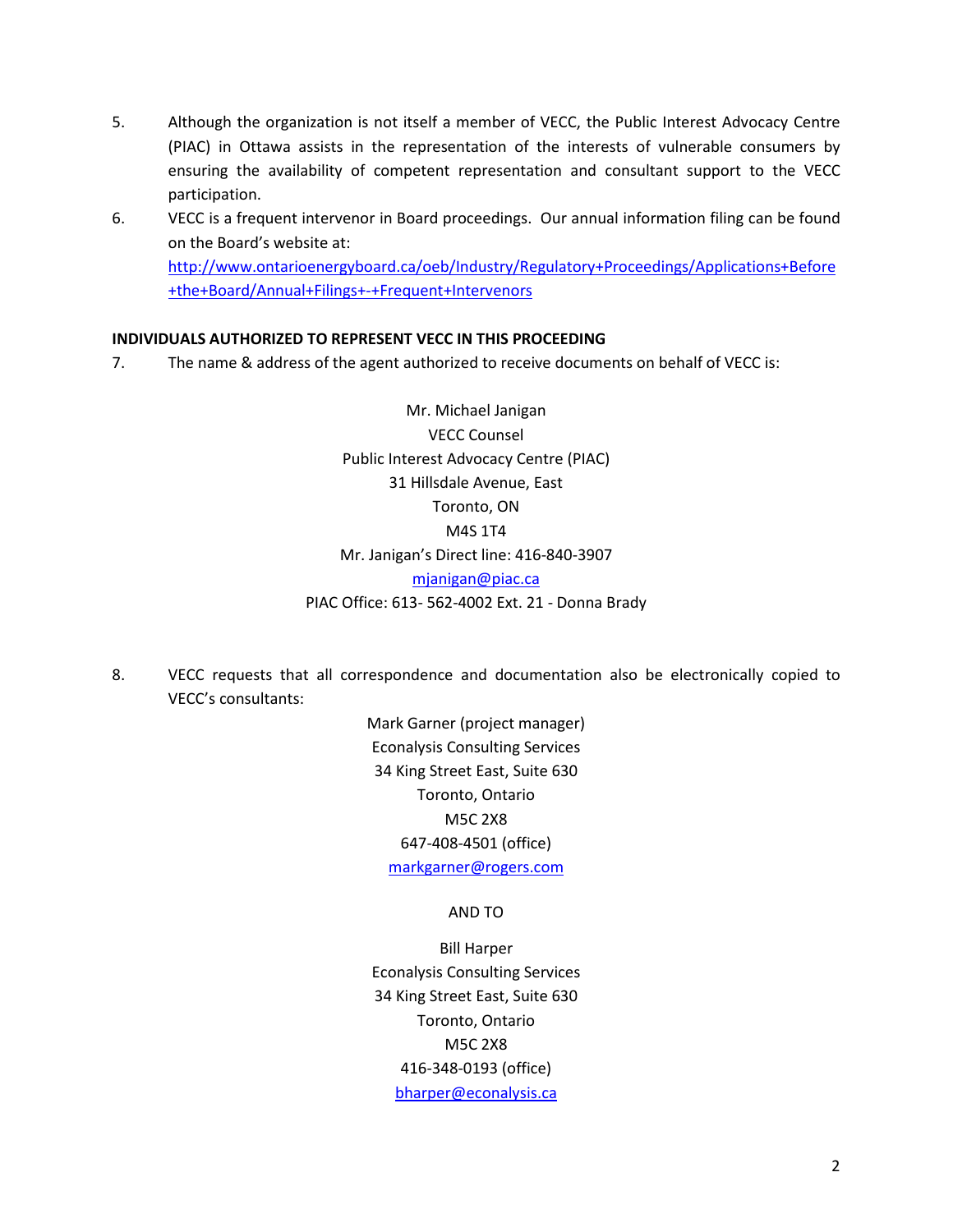- 5. Although the organization is not itself a member of VECC, the Public Interest Advocacy Centre (PIAC) in Ottawa assists in the representation of the interests of vulnerable consumers by ensuring the availability of competent representation and consultant support to the VECC participation.
- 6. VECC is a frequent intervenor in Board proceedings. Our annual information filing can be found on the Board's website at: [http://www.ontarioenergyboard.ca/oeb/Industry/Regulatory+Proceedings/Applications+Before](http://www.ontarioenergyboard.ca/oeb/Industry/Regulatory+Proceedings/Applications+Before+the+Board/Annual+Filings+-+Frequent+Intervenors) [+the+Board/Annual+Filings+-+Frequent+Intervenors](http://www.ontarioenergyboard.ca/oeb/Industry/Regulatory+Proceedings/Applications+Before+the+Board/Annual+Filings+-+Frequent+Intervenors)

## **INDIVIDUALS AUTHORIZED TO REPRESENT VECC IN THIS PROCEEDING**

7. The name & address of the agent authorized to receive documents on behalf of VECC is:

Mr. Michael Janigan VECC Counsel Public Interest Advocacy Centre (PIAC) 31 Hillsdale Avenue, East Toronto, ON M4S 1T4 Mr. Janigan's Direct line: 416-840-3907 [mjanigan@piac.ca](mailto:mjanigan@piac.ca) PIAC Office: 613- 562-4002 Ext. 21 - Donna Brady

8. VECC requests that all correspondence and documentation also be electronically copied to VECC's consultants:

> Mark Garner (project manager) Econalysis Consulting Services 34 King Street East, Suite 630 Toronto, Ontario M5C 2X8 647-408-4501 (office) [markgarner@rogers.com](mailto:markgarner@rogers.com)

#### AND TO

Bill Harper Econalysis Consulting Services 34 King Street East, Suite 630 Toronto, Ontario M5C 2X8 416-348-0193 (office) [bharper@econalysis.ca](mailto:bharper@econalysis.ca)